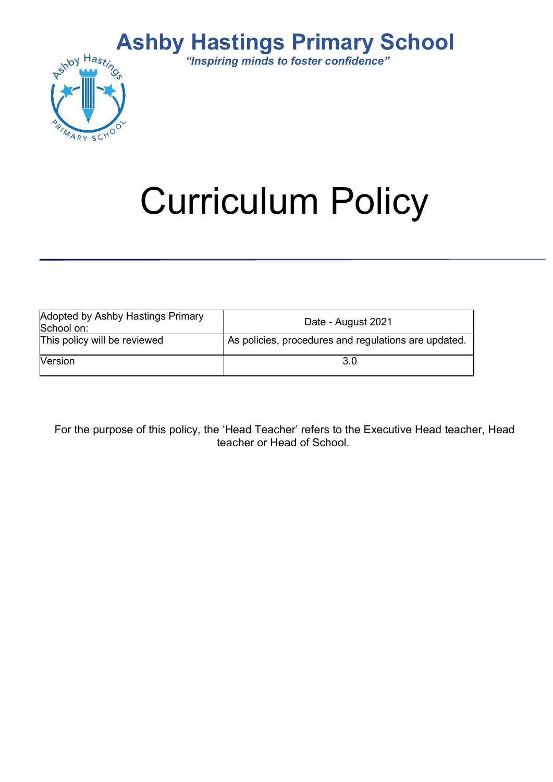## Ashby Hastings Primary School



"Inspiring minds to foster confidence"

# Curriculum Policy

| Adopted by Ashby Hastings Primary<br>School on: | Date - August 2021                                   |
|-------------------------------------------------|------------------------------------------------------|
| This policy will be reviewed                    | As policies, procedures and regulations are updated. |
| <b>Version</b>                                  | 3.0                                                  |

For the purpose of this policy, the 'Head Teacher' refers to the Executive Head teacher, Head teacher or Head of School.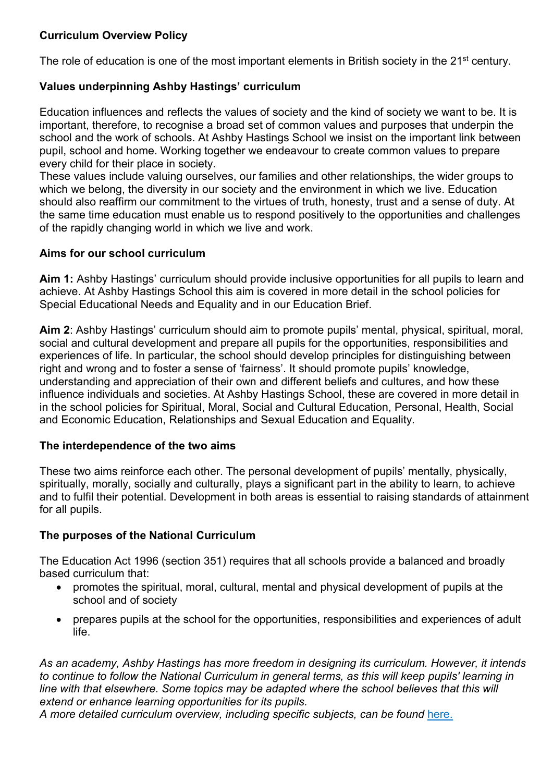#### Curriculum Overview Policy

The role of education is one of the most important elements in British society in the 21<sup>st</sup> century.

#### Values underpinning Ashby Hastings' curriculum

Education influences and reflects the values of society and the kind of society we want to be. It is important, therefore, to recognise a broad set of common values and purposes that underpin the school and the work of schools. At Ashby Hastings School we insist on the important link between pupil, school and home. Working together we endeavour to create common values to prepare every child for their place in society.

These values include valuing ourselves, our families and other relationships, the wider groups to which we belong, the diversity in our society and the environment in which we live. Education should also reaffirm our commitment to the virtues of truth, honesty, trust and a sense of duty. At the same time education must enable us to respond positively to the opportunities and challenges of the rapidly changing world in which we live and work.

#### Aims for our school curriculum

Aim 1: Ashby Hastings' curriculum should provide inclusive opportunities for all pupils to learn and achieve. At Ashby Hastings School this aim is covered in more detail in the school policies for Special Educational Needs and Equality and in our Education Brief.

Aim 2: Ashby Hastings' curriculum should aim to promote pupils' mental, physical, spiritual, moral, social and cultural development and prepare all pupils for the opportunities, responsibilities and experiences of life. In particular, the school should develop principles for distinguishing between right and wrong and to foster a sense of 'fairness'. It should promote pupils' knowledge, understanding and appreciation of their own and different beliefs and cultures, and how these influence individuals and societies. At Ashby Hastings School, these are covered in more detail in in the school policies for Spiritual, Moral, Social and Cultural Education, Personal, Health, Social and Economic Education, Relationships and Sexual Education and Equality.

#### The interdependence of the two aims

These two aims reinforce each other. The personal development of pupils' mentally, physically, spiritually, morally, socially and culturally, plays a significant part in the ability to learn, to achieve and to fulfil their potential. Development in both areas is essential to raising standards of attainment for all pupils.

#### The purposes of the National Curriculum

The Education Act 1996 (section 351) requires that all schools provide a balanced and broadly based curriculum that:

- promotes the spiritual, moral, cultural, mental and physical development of pupils at the school and of society
- prepares pupils at the school for the opportunities, responsibilities and experiences of adult life.

As an academy, Ashby Hastings has more freedom in designing its curriculum. However, it intends to continue to follow the National Curriculum in general terms, as this will keep pupils' learning in line with that elsewhere. Some topics may be adapted where the school believes that this will extend or enhance learning opportunities for its pupils.

A more detailed curriculum overview, including specific subjects, can be found here.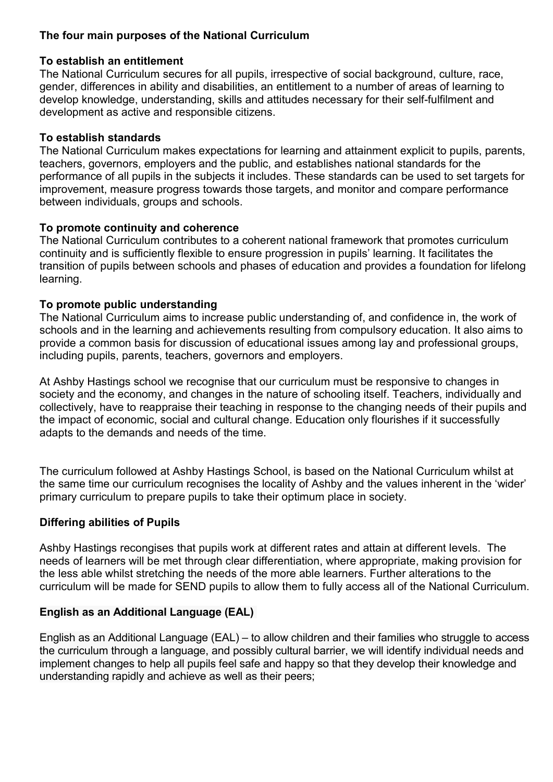#### The four main purposes of the National Curriculum

#### To establish an entitlement

The National Curriculum secures for all pupils, irrespective of social background, culture, race, gender, differences in ability and disabilities, an entitlement to a number of areas of learning to develop knowledge, understanding, skills and attitudes necessary for their self-fulfilment and development as active and responsible citizens.

#### To establish standards

The National Curriculum makes expectations for learning and attainment explicit to pupils, parents, teachers, governors, employers and the public, and establishes national standards for the performance of all pupils in the subjects it includes. These standards can be used to set targets for improvement, measure progress towards those targets, and monitor and compare performance between individuals, groups and schools.

#### To promote continuity and coherence

The National Curriculum contributes to a coherent national framework that promotes curriculum continuity and is sufficiently flexible to ensure progression in pupils' learning. It facilitates the transition of pupils between schools and phases of education and provides a foundation for lifelong learning.

#### To promote public understanding

The National Curriculum aims to increase public understanding of, and confidence in, the work of schools and in the learning and achievements resulting from compulsory education. It also aims to provide a common basis for discussion of educational issues among lay and professional groups, including pupils, parents, teachers, governors and employers.

At Ashby Hastings school we recognise that our curriculum must be responsive to changes in society and the economy, and changes in the nature of schooling itself. Teachers, individually and collectively, have to reappraise their teaching in response to the changing needs of their pupils and the impact of economic, social and cultural change. Education only flourishes if it successfully adapts to the demands and needs of the time.

The curriculum followed at Ashby Hastings School, is based on the National Curriculum whilst at the same time our curriculum recognises the locality of Ashby and the values inherent in the 'wider' primary curriculum to prepare pupils to take their optimum place in society.

#### Differing abilities of Pupils

Ashby Hastings recongises that pupils work at different rates and attain at different levels. The needs of learners will be met through clear differentiation, where appropriate, making provision for the less able whilst stretching the needs of the more able learners. Further alterations to the curriculum will be made for SEND pupils to allow them to fully access all of the National Curriculum.

#### English as an Additional Language (EAL)

English as an Additional Language (EAL) – to allow children and their families who struggle to access the curriculum through a language, and possibly cultural barrier, we will identify individual needs and implement changes to help all pupils feel safe and happy so that they develop their knowledge and understanding rapidly and achieve as well as their peers;